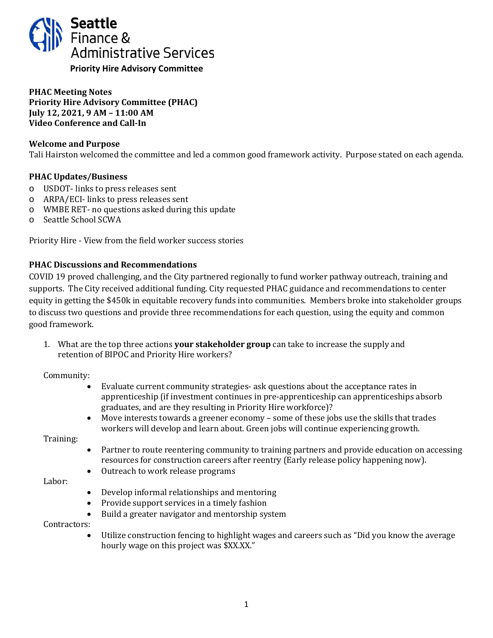

**PHAC Meeting Notes Priority Hire Advisory Committee (PHAC) July 12, 2021, 9 AM – 11:00 AM Video Conference and Call-In**

# **Welcome and Purpose**

Tali Hairston welcomed the committee and led a common good framework activity. Purpose stated on each agenda.

## **PHAC Updates/Business**

- o USDOT- links to press releases sent
- o ARPA/ECI- links to press releases sent
- o WMBE RET- no questions asked during this update
- o Seattle School SCWA

Priority Hire - View from the field worker success stories

### **PHAC Discussions and Recommendations**

COVID 19 proved challenging, and the City partnered regionally to fund worker pathway outreach, training and supports. The City received additional funding. City requested PHAC guidance and recommendations to center equity in getting the \$450k in equitable recovery funds into communities. Members broke into stakeholder groups to discuss two questions and provide three recommendations for each question, using the equity and common good framework.

1. What are the top three actions **your stakeholder group** can take to increase the supply and retention of BIPOC and Priority Hire workers?

Community:

- Evaluate current community strategies- ask questions about the acceptance rates in apprenticeship (if investment continues in pre-apprenticeship can apprenticeships absorb graduates, and are they resulting in Priority Hire workforce)?
- Move interests towards a greener economy some of these jobs use the skills that trades workers will develop and learn about. Green jobs will continue experiencing growth.

Training:

- Partner to route reentering community to training partners and provide education on accessing resources for construction careers after reentry (Early release policy happening now).
- Outreach to work release programs

Labor:

- Develop informal relationships and mentoring
- Provide support services in a timely fashion<br>• Build a greater navigator and mentorship sy
- Build a greater navigator and mentorship system

# Contractors:

• Utilize construction fencing to highlight wages and careers such as "Did you know the average hourly wage on this project was \$XX.XX."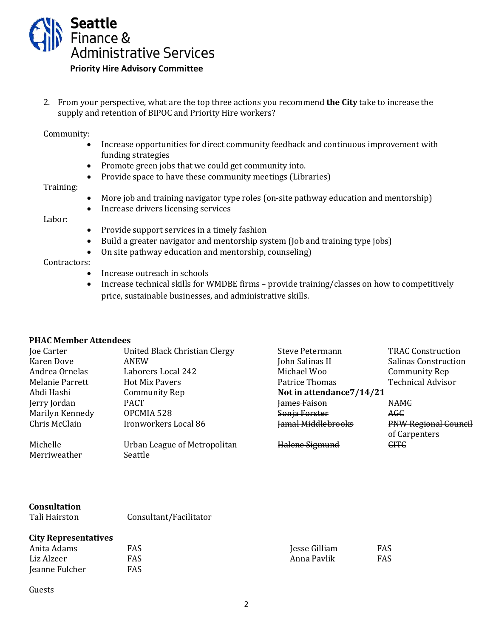

2. From your perspective, what are the top three actions you recommend **the City** take to increase the supply and retention of BIPOC and Priority Hire workers?

Community:

- Increase opportunities for direct community feedback and continuous improvement with funding strategies
- Promote green jobs that we could get community into.
- Provide space to have these community meetings (Libraries)

#### Training:

- More job and training navigator type roles (on-site pathway education and mentorship)
- Increase drivers licensing services

#### Labor:

- Provide support services in a timely fashion
- Build a greater navigator and mentorship system (Job and training type jobs)<br>• On site pathway education and mentorship, counseling)
- On site pathway education and mentorship, counseling)

# Contractors:

- Increase outreach in schools<br>• Increase technical skills for V
- Increase technical skills for WMDBE firms provide training/classes on how to competitively price, sustainable businesses, and administrative skills.

### **PHAC Member Attendees**

| Joe Carter      | United Black Christian Clergy | <b>Steve Petermann</b>    | <b>TRAC Construction</b>    |
|-----------------|-------------------------------|---------------------------|-----------------------------|
| Karen Dove      | ANEW                          | John Salinas II           | <b>Salinas Construction</b> |
| Andrea Ornelas  | Laborers Local 242            | Michael Woo               | Community Rep               |
| Melanie Parrett | <b>Hot Mix Pavers</b>         | Patrice Thomas            | <b>Technical Advisor</b>    |
| Abdi Hashi      | Community Rep                 | Not in attendance 7/14/21 |                             |
| Jerry Jordan    | <b>PACT</b>                   | lames Faison              | <b>NAMC</b>                 |
| Marilyn Kennedy | OPCMIA 528                    | Sonja Forster             | AGC                         |
| Chris McClain   | Ironworkers Local 86          | <b>Jamal Middlebrooks</b> | <b>PNW Regional Council</b> |
|                 |                               |                           | of Carpenters               |
| Michelle        | Urban League of Metropolitan  | Halene Sigmund            | <b>CITC</b>                 |
| Merriweather    | Seattle                       |                           |                             |
|                 |                               |                           |                             |

# **Consultation**

Tali Hairston Consultant/Facilitator

### **City Representatives**

| Anita Adams    | FAS | Jesse Gilliam | FAS |
|----------------|-----|---------------|-----|
| Liz Alzeer     | FAS | Anna Pavlik   | FAS |
| Jeanne Fulcher | FAS |               |     |

#### Guests